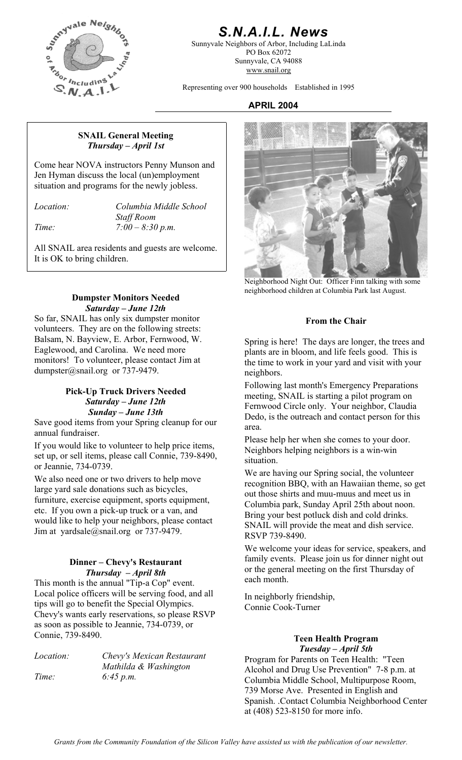

## *S.N.A.I.L. News*

Sunnyvale Neighbors of Arbor, Including LaLinda PO Box 62072 Sunnyvale, CA 94088 www.snail.org

Representing over 900 households Established in 1995

#### **APRIL 2004**

#### **SNAIL General Meeting**  *Thursday – April 1st*

Come hear NOVA instructors Penny Munson and Jen Hyman discuss the local (un)employment situation and programs for the newly jobless.

*Location: Columbia Middle School Staff Room Time: 7:00 – 8:30 p.m.* 

All SNAIL area residents and guests are welcome. It is OK to bring children.

#### **Dumpster Monitors Needed**  *Saturday – June 12th*

So far, SNAIL has only six dumpster monitor volunteers. They are on the following streets: Balsam, N. Bayview, E. Arbor, Fernwood, W. Eaglewood, and Carolina. We need more monitors! To volunteer, please contact Jim at dumpster@snail.org or 737-9479.

## **Pick-Up Truck Drivers Needed**  *Saturday – June 12th Sunday – June 13th*

Save good items from your Spring cleanup for our annual fundraiser.

If you would like to volunteer to help price items, set up, or sell items, please call Connie, 739-8490, or Jeannie, 734-0739. We are having our Spring social, the volunteer

We also need one or two drivers to help move large yard sale donations such as bicycles, furniture, exercise equipment, sports equipment, etc. If you own a pick-up truck or a van, and would like to help your neighbors, please contact Jim at yardsale@snail.org or 737-9479.

## **Dinner – Chevy's Restaurant**  *Thursday – April 8th*

This month is the annual "Tip-a Cop" event. Local police officers will be serving food, and all tips will go to benefit the Special Olympics. Chevy's wants early reservations, so please RSVP as soon as possible to Jeannie, 734-0739, or Connie, 739-8490.

*Mathilda & Washington Time: 6:45 p.m.* 



Neighborhood Night Out: Officer Finn talking with some neighborhood children at Columbia Park last August.

## **From the Chair**

Spring is here! The days are longer, the trees and plants are in bloom, and life feels good. This is the time to work in your yard and visit with your neighbors.

Following last month's Emergency Preparations meeting, SNAIL is starting a pilot program on Fernwood Circle only. Your neighbor, Claudia Dedo, is the outreach and contact person for this area.

Please help her when she comes to your door. Neighbors helping neighbors is a win-win situation.

recognition BBQ, with an Hawaiian theme, so get out those shirts and muu-muus and meet us in Columbia park, Sunday April 25th about noon. Bring your best potluck dish and cold drinks. SNAIL will provide the meat and dish service. RSVP 739-8490.

We welcome your ideas for service, speakers, and family events. Please join us for dinner night out or the general meeting on the first Thursday of each month.

In neighborly friendship, Connie Cook-Turner

# **Teen Health Program**

*Tuesday – April 5th Chevy's Mexican Restaurant* **Program for Parents on Teen Health:** "Teen Alcohol and Drug Use Prevention" 7-8 p.m. at Columbia Middle School, Multipurpose Room, 739 Morse Ave. Presented in English and Spanish. .Contact Columbia Neighborhood Center at (408) 523-8150 for more info.